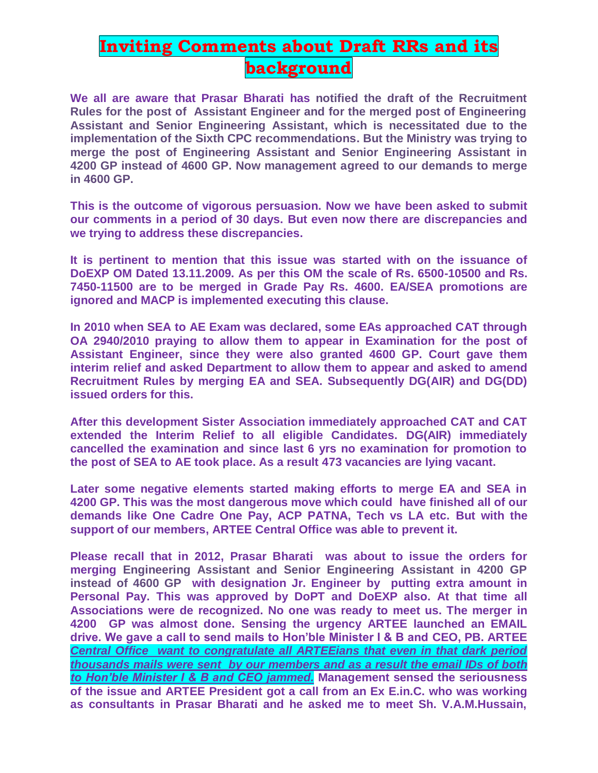## **Inviting Comments about Draft RRs and its background**

**We all are aware that Prasar Bharati has notified the draft of the Recruitment Rules for the post of Assistant Engineer and for the merged post of Engineering Assistant and Senior Engineering Assistant, which is necessitated due to the implementation of the Sixth CPC recommendations. But the Ministry was trying to merge the post of Engineering Assistant and Senior Engineering Assistant in 4200 GP instead of 4600 GP. Now management agreed to our demands to merge in 4600 GP.** 

**This is the outcome of vigorous persuasion. Now we have been asked to submit our comments in a period of 30 days. But even now there are discrepancies and we trying to address these discrepancies.**

**It is pertinent to mention that this issue was started with on the issuance of DoEXP OM Dated 13.11.2009. As per this OM the scale of Rs. 6500-10500 and Rs. 7450-11500 are to be merged in Grade Pay Rs. 4600. EA/SEA promotions are ignored and MACP is implemented executing this clause.**

**In 2010 when SEA to AE Exam was declared, some EAs approached CAT through OA 2940/2010 praying to allow them to appear in Examination for the post of Assistant Engineer, since they were also granted 4600 GP. Court gave them interim relief and asked Department to allow them to appear and asked to amend Recruitment Rules by merging EA and SEA. Subsequently DG(AIR) and DG(DD) issued orders for this.**

**After this development Sister Association immediately approached CAT and CAT extended the Interim Relief to all eligible Candidates. DG(AIR) immediately cancelled the examination and since last 6 yrs no examination for promotion to the post of SEA to AE took place. As a result 473 vacancies are lying vacant.**

**Later some negative elements started making efforts to merge EA and SEA in 4200 GP. This was the most dangerous move which could have finished all of our demands like One Cadre One Pay, ACP PATNA, Tech vs LA etc. But with the support of our members, ARTEE Central Office was able to prevent it.**

**Please recall that in 2012, Prasar Bharati was about to issue the orders for merging Engineering Assistant and Senior Engineering Assistant in 4200 GP instead of 4600 GP with designation Jr. Engineer by putting extra amount in Personal Pay. This was approved by DoPT and DoEXP also. At that time all Associations were de recognized. No one was ready to meet us. The merger in 4200 GP was almost done. Sensing the urgency ARTEE launched an EMAIL drive. We gave a call to send mails to Hon'ble Minister I & B and CEO, PB. ARTEE**  *Central Office want to congratulate all ARTEEians that even in that dark period thousands mails were sent by our members and as a result the email IDs of both to Hon'ble Minister I & B and CEO jammed.* **Management sensed the seriousness of the issue and ARTEE President got a call from an Ex E.in.C. who was working as consultants in Prasar Bharati and he asked me to meet Sh. V.A.M.Hussain,**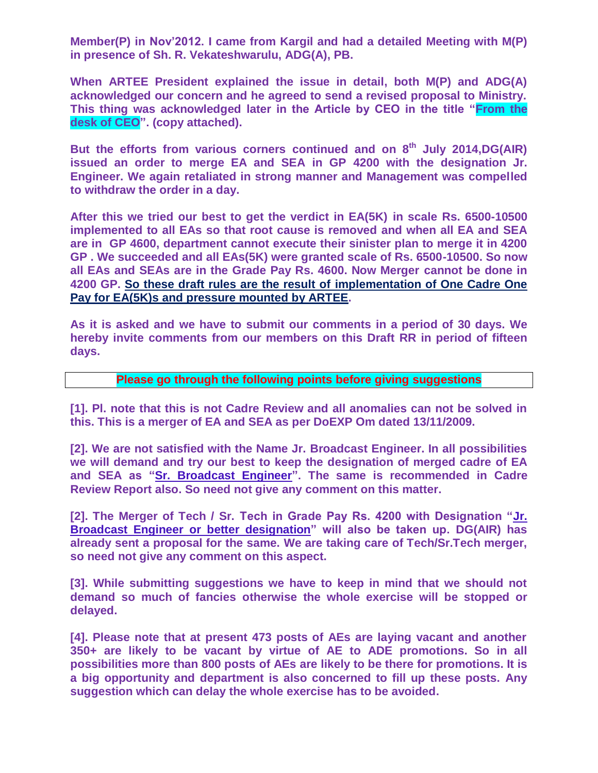**Member(P) in Nov'2012. I came from Kargil and had a detailed Meeting with M(P) in presence of Sh. R. Vekateshwarulu, ADG(A), PB.**

**When ARTEE President explained the issue in detail, both M(P) and ADG(A) acknowledged our concern and he agreed to send a revised proposal to Ministry. This thing was acknowledged later in the Article by CEO in the title "From the desk of CEO". (copy attached).**

**But the efforts from various corners continued and on 8 th July 2014,DG(AIR) issued an order to merge EA and SEA in GP 4200 with the designation Jr. Engineer. We again retaliated in strong manner and Management was compelled to withdraw the order in a day.**

**After this we tried our best to get the verdict in EA(5K) in scale Rs. 6500-10500 implemented to all EAs so that root cause is removed and when all EA and SEA are in GP 4600, department cannot execute their sinister plan to merge it in 4200 GP . We succeeded and all EAs(5K) were granted scale of Rs. 6500-10500. So now all EAs and SEAs are in the Grade Pay Rs. 4600. Now Merger cannot be done in 4200 GP. So these draft rules are the result of implementation of One Cadre One Pay for EA(5K)s and pressure mounted by ARTEE.**

**As it is asked and we have to submit our comments in a period of 30 days. We hereby invite comments from our members on this Draft RR in period of fifteen days.**

## **Please go through the following points before giving suggestions**

**[1]. Pl. note that this is not Cadre Review and all anomalies can not be solved in this. This is a merger of EA and SEA as per DoEXP Om dated 13/11/2009.**

**[2]. We are not satisfied with the Name Jr. Broadcast Engineer. In all possibilities we will demand and try our best to keep the designation of merged cadre of EA and SEA as "Sr. Broadcast Engineer". The same is recommended in Cadre Review Report also. So need not give any comment on this matter.**

**[2]. The Merger of Tech / Sr. Tech in Grade Pay Rs. 4200 with Designation "Jr. Broadcast Engineer or better designation" will also be taken up. DG(AIR) has already sent a proposal for the same. We are taking care of Tech/Sr.Tech merger, so need not give any comment on this aspect.**

**[3]. While submitting suggestions we have to keep in mind that we should not demand so much of fancies otherwise the whole exercise will be stopped or delayed.**

**[4]. Please note that at present 473 posts of AEs are laying vacant and another 350+ are likely to be vacant by virtue of AE to ADE promotions. So in all possibilities more than 800 posts of AEs are likely to be there for promotions. It is a big opportunity and department is also concerned to fill up these posts. Any suggestion which can delay the whole exercise has to be avoided.**